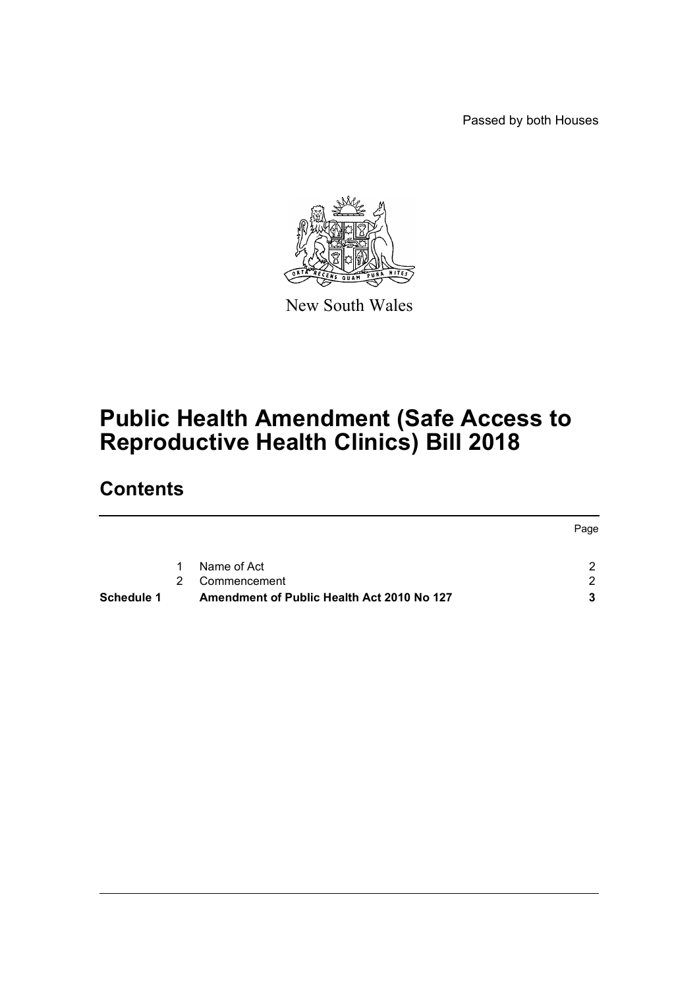Passed by both Houses



New South Wales

## **Public Health Amendment (Safe Access to Reproductive Health Clinics) Bill 2018**

## **Contents**

|            |               |                                            | Page |
|------------|---------------|--------------------------------------------|------|
|            |               |                                            |      |
|            | 1             | Name of Act                                |      |
|            | $\mathcal{P}$ | Commencement                               | ົ    |
| Schedule 1 |               | Amendment of Public Health Act 2010 No 127 |      |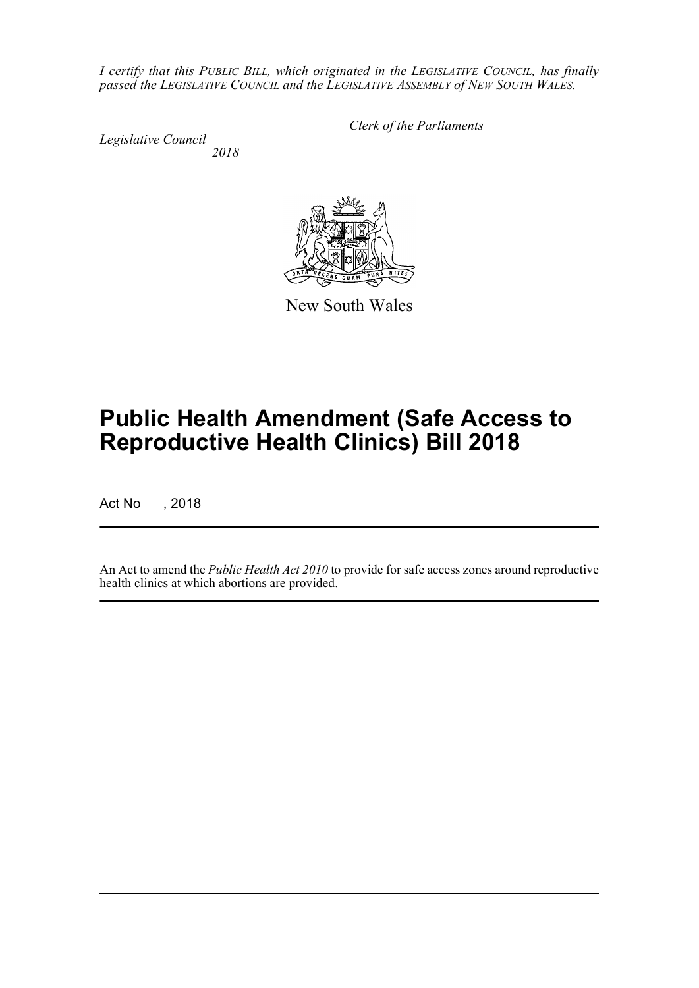*I certify that this PUBLIC BILL, which originated in the LEGISLATIVE COUNCIL, has finally passed the LEGISLATIVE COUNCIL and the LEGISLATIVE ASSEMBLY of NEW SOUTH WALES.*

*Legislative Council*

*Clerk of the Parliaments*

*2018*



New South Wales

# **Public Health Amendment (Safe Access to Reproductive Health Clinics) Bill 2018**

Act No , 2018

An Act to amend the *Public Health Act 2010* to provide for safe access zones around reproductive health clinics at which abortions are provided.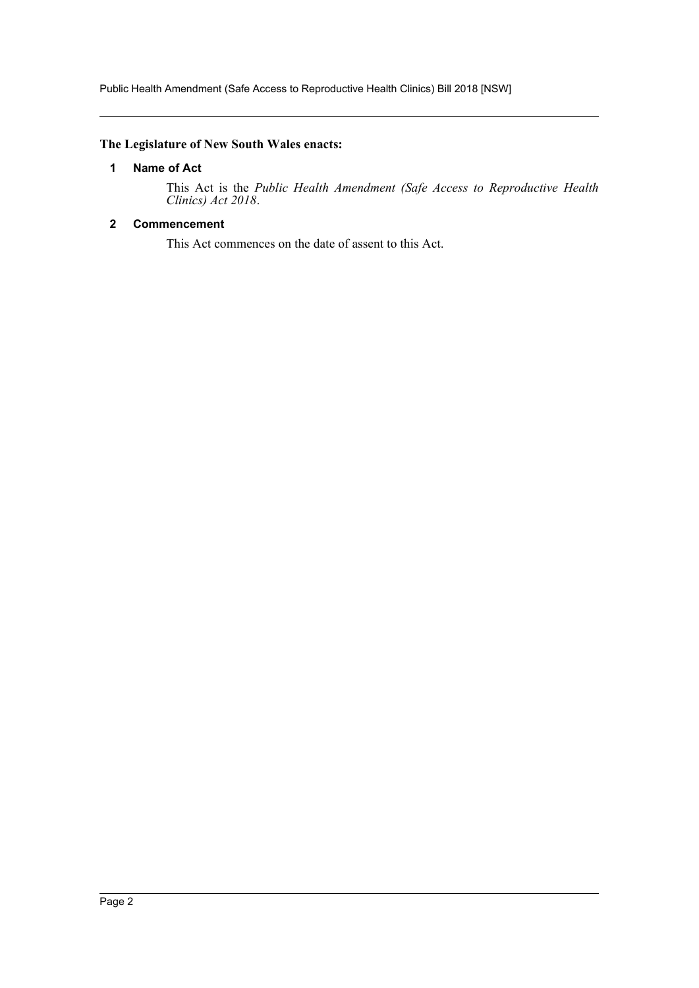Public Health Amendment (Safe Access to Reproductive Health Clinics) Bill 2018 [NSW]

#### <span id="page-2-0"></span>**The Legislature of New South Wales enacts:**

#### **1 Name of Act**

This Act is the *Public Health Amendment (Safe Access to Reproductive Health Clinics) Act 2018*.

#### <span id="page-2-1"></span>**2 Commencement**

This Act commences on the date of assent to this Act.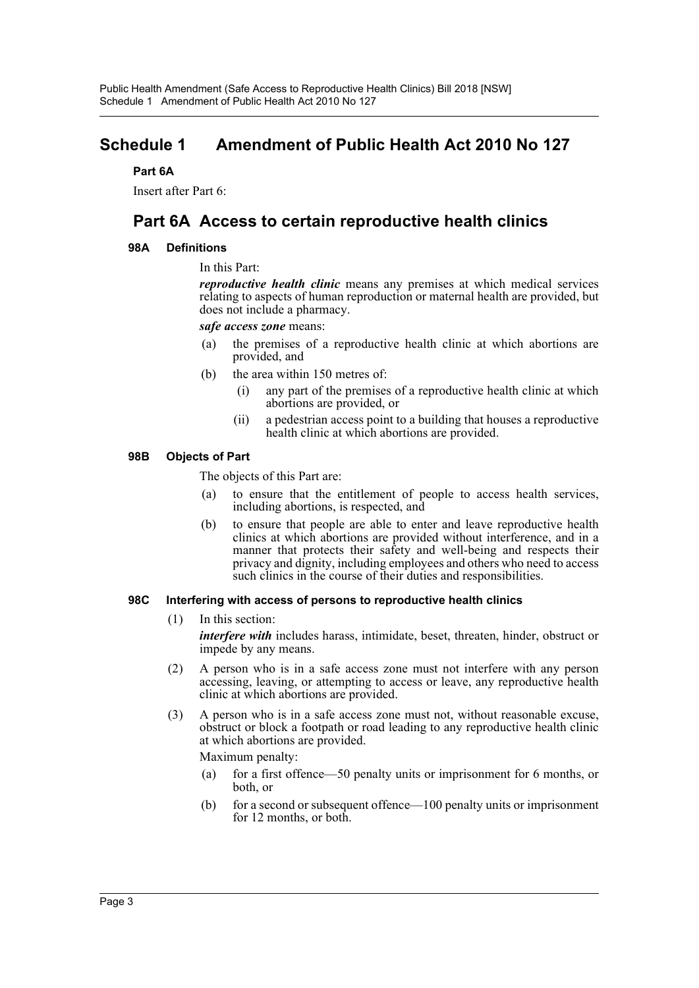### <span id="page-3-0"></span>**Schedule 1 Amendment of Public Health Act 2010 No 127**

#### **Part 6A**

Insert after Part 6:

### **Part 6A Access to certain reproductive health clinics**

#### **98A Definitions**

In this Part:

*reproductive health clinic* means any premises at which medical services relating to aspects of human reproduction or maternal health are provided, but does not include a pharmacy.

*safe access zone* means:

- (a) the premises of a reproductive health clinic at which abortions are provided, and
- (b) the area within 150 metres of:
	- (i) any part of the premises of a reproductive health clinic at which abortions are provided, or
	- (ii) a pedestrian access point to a building that houses a reproductive health clinic at which abortions are provided.

#### **98B Objects of Part**

The objects of this Part are:

- (a) to ensure that the entitlement of people to access health services, including abortions, is respected, and
- (b) to ensure that people are able to enter and leave reproductive health clinics at which abortions are provided without interference, and in a manner that protects their safety and well-being and respects their privacy and dignity, including employees and others who need to access such clinics in the course of their duties and responsibilities.

#### **98C Interfering with access of persons to reproductive health clinics**

(1) In this section:

*interfere with* includes harass, intimidate, beset, threaten, hinder, obstruct or impede by any means.

- (2) A person who is in a safe access zone must not interfere with any person accessing, leaving, or attempting to access or leave, any reproductive health clinic at which abortions are provided.
- (3) A person who is in a safe access zone must not, without reasonable excuse, obstruct or block a footpath or road leading to any reproductive health clinic at which abortions are provided.

Maximum penalty:

- (a) for a first offence—50 penalty units or imprisonment for 6 months, or both, or
- (b) for a second or subsequent offence—100 penalty units or imprisonment for 12 months, or both.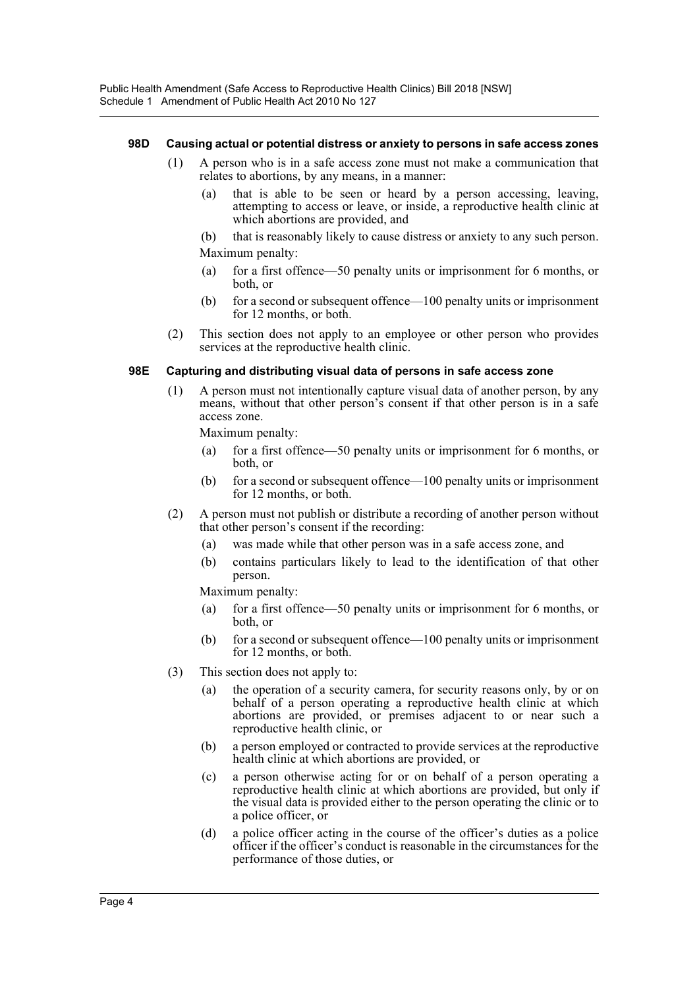#### **98D Causing actual or potential distress or anxiety to persons in safe access zones**

- (1) A person who is in a safe access zone must not make a communication that relates to abortions, by any means, in a manner:
	- (a) that is able to be seen or heard by a person accessing, leaving, attempting to access or leave, or inside, a reproductive health clinic at which abortions are provided, and
	- (b) that is reasonably likely to cause distress or anxiety to any such person. Maximum penalty:
	- (a) for a first offence—50 penalty units or imprisonment for 6 months, or both, or
	- (b) for a second or subsequent offence—100 penalty units or imprisonment for 12 months, or both.
- (2) This section does not apply to an employee or other person who provides services at the reproductive health clinic.

#### **98E Capturing and distributing visual data of persons in safe access zone**

(1) A person must not intentionally capture visual data of another person, by any means, without that other person's consent if that other person is in a safe access zone.

Maximum penalty:

- (a) for a first offence—50 penalty units or imprisonment for 6 months, or both, or
- (b) for a second or subsequent offence—100 penalty units or imprisonment for 12 months, or both.
- (2) A person must not publish or distribute a recording of another person without that other person's consent if the recording:
	- (a) was made while that other person was in a safe access zone, and
	- (b) contains particulars likely to lead to the identification of that other person.

Maximum penalty:

- (a) for a first offence—50 penalty units or imprisonment for 6 months, or both, or
- (b) for a second or subsequent offence—100 penalty units or imprisonment for 12 months, or both.
- (3) This section does not apply to:
	- (a) the operation of a security camera, for security reasons only, by or on behalf of a person operating a reproductive health clinic at which abortions are provided, or premises adjacent to or near such a reproductive health clinic, or
	- (b) a person employed or contracted to provide services at the reproductive health clinic at which abortions are provided, or
	- (c) a person otherwise acting for or on behalf of a person operating a reproductive health clinic at which abortions are provided, but only if the visual data is provided either to the person operating the clinic or to a police officer, or
	- (d) a police officer acting in the course of the officer's duties as a police officer if the officer's conduct is reasonable in the circumstances for the performance of those duties, or